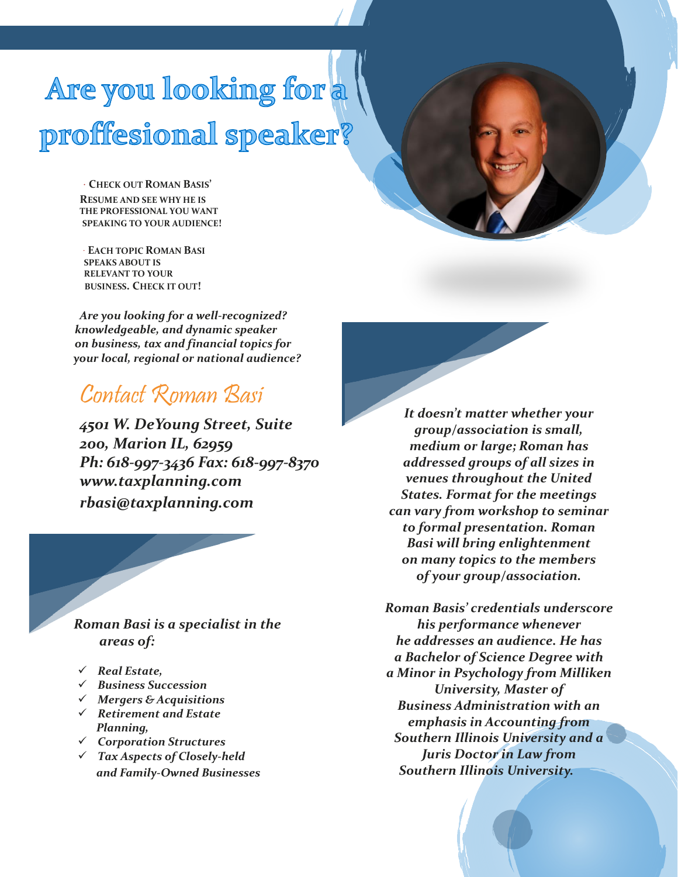## Are you looking for a proffesional speaker?

**CHECK OUT ROMAN BASIS' RESUME AND SEE WHY HE IS THE PROFESSIONAL YOU WANT SPEAKING TO YOUR AUDIENCE!**

**EACH TOPIC ROMAN BASI SPEAKS ABOUT IS RELEVANT TO YOUR BUSINESS. CHECK IT OUT!**

*Are you looking for a well-recognized? knowledgeable, and dynamic speaker on business, tax and financial topics for your local, regional or national audience?*

## Contact Roman Basi

*4501 W. DeYoung Street, Suite 200, Marion IL, 62959 Ph: 618‐997‐3436 Fax: 618‐997‐8370 www.taxplanning.com rbasi@taxplanning.com*

 *Roman Basi is a specialist in the areas of:*

- ✓ *Real Estate,*
- ✓ *Business Succession*
- ✓ *Mergers & Acquisitions*
- ✓ *Retirement and Estate Planning,*
- ✓ *Corporation Structures*
- ✓ *Tax Aspects of Closely‐held and Family-Owned Businesses*

*It doesn't matter whether your group/association is small, medium or large; Roman has addressed groups of all sizes in venues throughout the United States. Format for the meetings can vary from workshop to seminar to formal presentation. Roman Basi will bring enlightenment on many topics to the members of your group/association.*

*Roman Basis' credentials underscore his performance whenever he addresses an audience. He has a Bachelor of Science Degree with a Minor in Psychology from Milliken University, Master of Business Administration with an emphasis in Accounting from Southern Illinois University and a Juris Doctor in Law from Southern Illinois University.*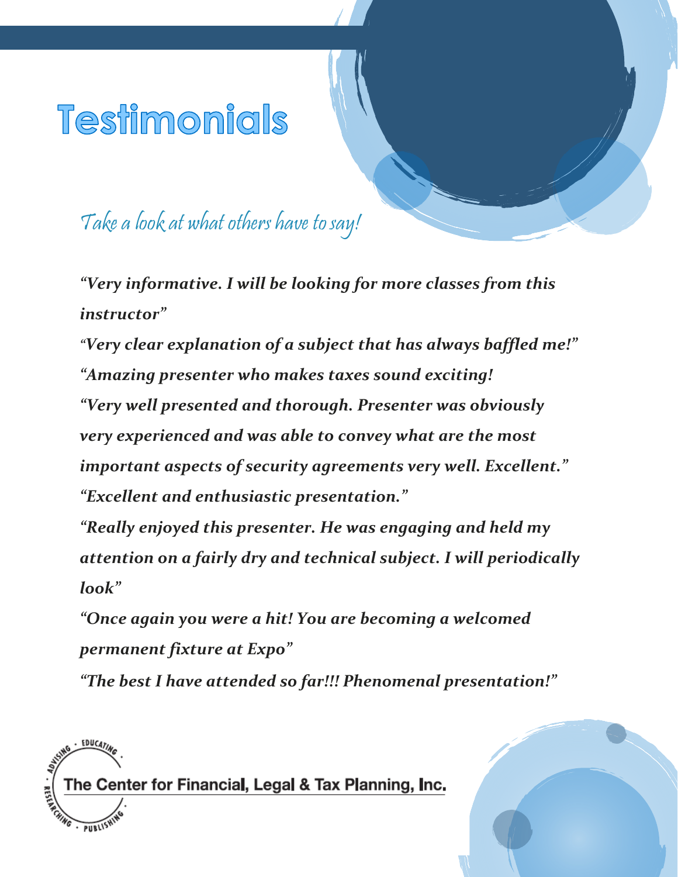## Testimonials

Take a look at what others have to say!

*"Very informative. I will be looking for more classes from this instructor"*

*"Very clear explanation of a subject that has always baffled me!" "Amazing presenter who makes taxes sound exciting! "Very well presented and thorough. Presenter was obviously very experienced and was able to convey what are the most important aspects of security agreements very well. Excellent." "Excellent and enthusiastic presentation."*

*"Really enjoyed this presenter. He was engaging and held my attention on a fairly dry and technical subject. I will periodically look"*

*"Once again you were a hit! You are becoming a welcomed permanent fixture at Expo"*

*"The best I have attended so far!!! Phenomenal presentation!"*